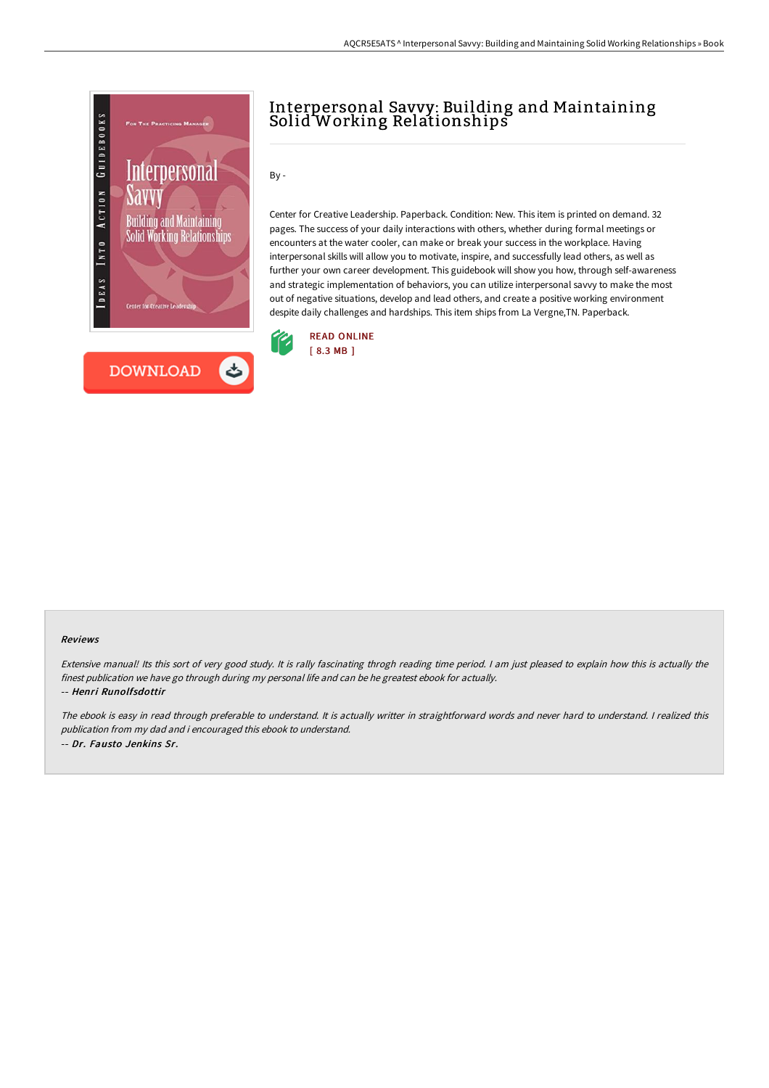

## Interpersonal Savvy: Building and Maintaining Solid Working Relationships

By -

Center for Creative Leadership. Paperback. Condition: New. This item is printed on demand. 32 pages. The success of your daily interactions with others, whether during formal meetings or encounters at the water cooler, can make or break your success in the workplace. Having interpersonal skills will allow you to motivate, inspire, and successfully lead others, as well as further your own career development. This guidebook will show you how, through self-awareness and strategic implementation of behaviors, you can utilize interpersonal savvy to make the most out of negative situations, develop and lead others, and create a positive working environment despite daily challenges and hardships. This item ships from La Vergne,TN. Paperback.



## Reviews

Extensive manual! Its this sort of very good study. It is rally fascinating throgh reading time period. <sup>I</sup> am just pleased to explain how this is actually the finest publication we have go through during my personal life and can be he greatest ebook for actually. -- Henri Runolfsdottir

The ebook is easy in read through preferable to understand. It is actually writter in straightforward words and never hard to understand. <sup>I</sup> realized this publication from my dad and i encouraged this ebook to understand. -- Dr. Fausto Jenkins Sr.